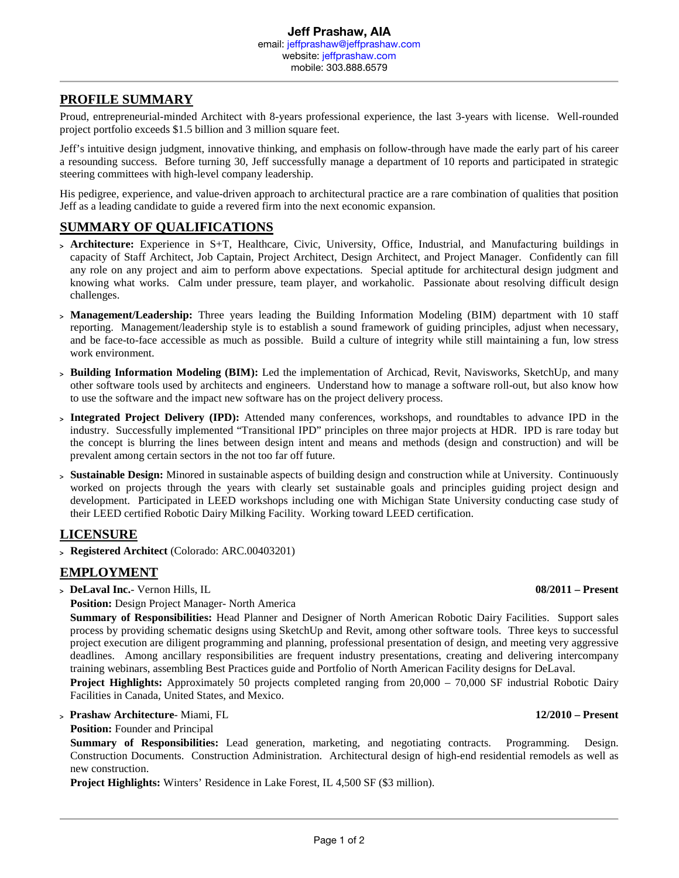# **PROFILE SUMMARY**

Proud, entrepreneurial-minded Architect with 8-years professional experience, the last 3-years with license. Well-rounded project portfolio exceeds \$1.5 billion and 3 million square feet.

Jeff's intuitive design judgment, innovative thinking, and emphasis on follow-through have made the early part of his career a resounding success. Before turning 30, Jeff successfully manage a department of 10 reports and participated in strategic steering committees with high-level company leadership.

His pedigree, experience, and value-driven approach to architectural practice are a rare combination of qualities that position Jeff as a leading candidate to guide a revered firm into the next economic expansion.

#### **SUMMARY OF QUALIFICATIONS**

- <sup>&</sup>gt; **Architecture:** Experience in S+T, Healthcare, Civic, University, Office, Industrial, and Manufacturing buildings in capacity of Staff Architect, Job Captain, Project Architect, Design Architect, and Project Manager. Confidently can fill any role on any project and aim to perform above expectations. Special aptitude for architectural design judgment and knowing what works. Calm under pressure, team player, and workaholic. Passionate about resolving difficult design challenges.
- <sup>&</sup>gt; **Management/Leadership:** Three years leading the Building Information Modeling (BIM) department with 10 staff reporting. Management/leadership style is to establish a sound framework of guiding principles, adjust when necessary, and be face-to-face accessible as much as possible. Build a culture of integrity while still maintaining a fun, low stress work environment.
- <sup>&</sup>gt; **Building Information Modeling (BIM):** Led the implementation of Archicad, Revit, Navisworks, SketchUp, and many other software tools used by architects and engineers. Understand how to manage a software roll-out, but also know how to use the software and the impact new software has on the project delivery process.
- <sup>&</sup>gt; **Integrated Project Delivery (IPD):** Attended many conferences, workshops, and roundtables to advance IPD in the industry. Successfully implemented "Transitional IPD" principles on three major projects at HDR. IPD is rare today but the concept is blurring the lines between design intent and means and methods (design and construction) and will be prevalent among certain sectors in the not too far off future.
- <sup>&</sup>gt; **Sustainable Design:** Minored in sustainable aspects of building design and construction while at University. Continuously worked on projects through the years with clearly set sustainable goals and principles guiding project design and development. Participated in LEED workshops including one with Michigan State University conducting case study of their LEED certified Robotic Dairy Milking Facility. Working toward LEED certification.

#### **LICENSURE**

<sup>&</sup>gt; **Registered Architect** (Colorado: ARC.00403201)

#### **EMPLOYMENT**

<sup>&</sup>gt; **DeLaval Inc.**- Vernon Hills, IL **08/2011 – Present**

**Position:** Design Project Manager- North America

**Summary of Responsibilities:** Head Planner and Designer of North American Robotic Dairy Facilities. Support sales process by providing schematic designs using SketchUp and Revit, among other software tools. Three keys to successful project execution are diligent programming and planning, professional presentation of design, and meeting very aggressive deadlines. Among ancillary responsibilities are frequent industry presentations, creating and delivering intercompany training webinars, assembling Best Practices guide and Portfolio of North American Facility designs for DeLaval.

**Project Highlights:** Approximately 50 projects completed ranging from 20,000 – 70,000 SF industrial Robotic Dairy Facilities in Canada, United States, and Mexico.

<sup>&</sup>gt; **Prashaw Architecture**- Miami, FL **12/2010 – Present**

#### **Position:** Founder and Principal

**Summary of Responsibilities:** Lead generation, marketing, and negotiating contracts. Programming. Design. Construction Documents. Construction Administration. Architectural design of high-end residential remodels as well as new construction.

**Project Highlights:** Winters' Residence in Lake Forest, IL 4,500 SF (\$3 million).